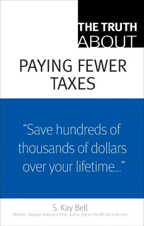# **THE TRUTH** AROLIT **PAYING FEWER TAXES**

"Save hundreds of thousands of dollars over your lifetime..."

S. Kay Bell Member, Taxpayer Advocacy Panel; author, Eye on the IRS, Bankrate.com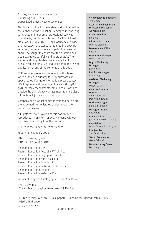© 2009 by Pearson Education, Inc. Publishing as FT Press Upper Saddle River, New Jersey 07458

This book is sold with the understanding that neither the author nor the publisher is engaged in rendering legal, accounting or other professional services or advice by publishing this book. Each individual situation is unique. Thus, if legal or financial advice or other expert assistance is required in a specific situation, the services of a competent professional should be sought to ensure that the situation has been evaluated carefully and appropriately. The author and the publisher disclaim any liability, loss, or risk resulting directly or indirectly, from the use or application of any of the contents of this book.

FT Press offers excellent discounts on this book when ordered in quantity for bulk purchases or special sales. For more information, please contact U.S. Corporate and Government Sales, 1-800-382- 3419, corpsales@pearsontechgroup.com. For sales outside the U.S., please contact International Sales at international@pearsoned.com.

Company and product names mentioned herein are the trademarks or registered trademarks of their respective owners.

All rights reserved. No part of this book may be reproduced, in any form or by any means, without permission in writing from the publisher.

Printed in the United States of America

First Printing January 2009

ISBN-10 0-13-715386-4 ISBN-13 978-0-13-715386-2

Pearson Education LTD.

Pearson Education Australia PTY, Limited. Pearson Education Singapore, Pte. Ltd. Pearson Education North Asia, Ltd. Pearson Education Canada, Ltd. Pearson Educatión de Mexico, S.A. de C.V. Pearson Education—Japan Pearson Education Malaysia, Pte. Ltd.

Library of Congress Cataloging-in-Publication Data

Bell, S. Kay, 1956- The truth about paying fewer taxes / S. Kay Bell. p. cm.

 ISBN 0-13-715386-4 (pbk. alk. paper) 1. Income tax--United States. I. Title. HJ4652.B36 2009 343.7305'2--dc22

Vice President, Publisher Tim Moore

Associate Publisher and Director of Marketing Amy Neidlinger

Executive Editor Jim Boyd

Editorial Assistant Myesha Graham

Development Editor Russ Hall

Operations Manager Gina Kanouse

Digital Marketing Manager

Julie Phifer

Publicity Manager Laura Czaja

Assistant Marketing Manager Megan Colvin

Cover and Interior Designs Stuart Jackman, Dorling Kindersley

Design Manager Sandra Schroeder

Managing Editor Kristy Hart

Project Editor Jovana San Nicolas-Shirley

Copy Editor Water Crest Publishing, Inc.

Proofreader San Dee Phillips

Senior Compositor Gloria Schurick

Manufacturing Buyer Dan Uhrig

2008039901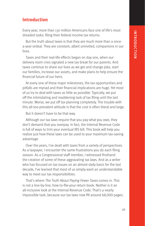#### **Introduction**

Every year, more than 130 million Americans face one of life's most dreaded tasks: filing their federal income tax returns.

But the truth about taxes is that they are much more than a oncea-year ordeal. They are constant, albeit uninvited, companions in our lives.

Taxes and their real-life effects began on day one, when our delivery room cries signaled a new tax break for our parents. And taxes continue to share our lives as we get and change jobs, start our families, increase our assets, and make plans to help ensure the financial future of our heirs.

At every one of these major milestones, the tax opportunities and pitfalls are myriad and their financial implications are huge. Yet most of us try to deal with taxes as little as possible. Typically, we put off the intimidating and maddening task of tax filing until the last minute. Worse, we put off tax planning completely. The trouble with this all-too-prevalent attitude is that the cost is often literal and large.

But it doesn't have to be that way.

Although our tax laws require that you pay what you owe, they don't demand that you overpay. In fact, the Internal Revenue Code is full of ways to trim your eventual IRS bill. This book will help you realize just how these laws can be used to your maximum tax-saving advantage.

Over the years, I've dealt with taxes from a variety of perspectives. As a taxpayer, I encounter the same frustrations you do each filing season. As a Congressional staff member, I witnessed firsthand the creation of some of these aggravating tax laws. And as a writer who has focused on tax issues on an almost-daily basis for the last decade, I've learned that most of us simply want an understandable way to meet our tax responsibilities.

That's where The Truth About Paying Fewer Taxes comes in. This is not a line-by-line, how-to-file-your-return book. Neither is it an all-inclusive look at the Internal Revenue Code. That's a nearly impossible task, because our tax laws now fill around 68,000 pages.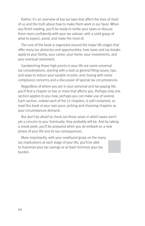Rather, it's an overview of key tax laws that affect the lives of most of us and the truth about how to make them work in our favor. When you finish reading, you'll be ready to tackle your taxes or discuss them more confidently with your tax adviser, with a solid grasp of what to expect, avoid, and make the most of.

The core of the book is organized around the major life stages that offer many tax obstacles and opportunities: how taxes and tax breaks apply to your family, your career, your home, your investments, and your eventual retirement.

Sandwiching those high points in your life are some universal tax considerations, starting with a look at general filing issues, tips, and ways to reduce your taxable income, and closing with some compliance concerns and a discussion of special tax circumstances.

Regardless of where you are in your personal and tax-paying life, you'll find a chapter or two or more that affects you. Perhaps only one section applies to you now; perhaps you can make use of several. Each section, indeed each of the 52 chapters, is self-contained, so read this book at your own pace, picking and choosing chapters as your circumstances demand.

But don't be afraid to check out those areas in which taxes aren't yet a concern to you. Eventually, they probably will be. And by taking a sneak peek, you'll be prepared when you do embark on a new phase of your life and its tax consequences.

More importantly, with your newfound grasp on the many tax implications at each stage of your life, you'll be able to maximize your tax savings or at least minimize your tax burden.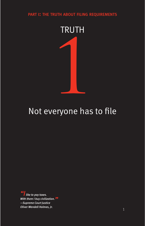PART I: THE TRUTH ABOUT FILING REQUIREMENTS



### Not everyone has to file

*like to pay taxes. With them I buy civilization." —Supreme Court Justice Oliver Wendell Holmes, Jr.*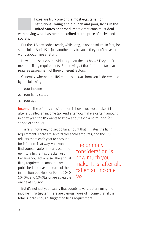Taxes are truly one of the most egalitarian of institutions. Young and old, rich and poor, living in the United States or abroad, most Americans must deal

with paying what has been described as the price of a civilized society.

But the U.S. tax code's reach, while long, is not absolute. In fact, for some folks, April 15 is just another day because they don't have to worry about filing a return.

How do these lucky individuals get off the tax hook? They don't meet the filing requirements. But arriving at that fortunate tax place requires assessment of three different factors.

Generally, whether the IRS requires a 1040 from you is determined by the following:

- 1. Your income
- 2. Your filing status
- 3. Your age

Income—The primary consideration is how much you make. It is, after all, called an income tax. And after you make a certain amount in a tax year, the IRS wants to know about it via a Form 1040 (or 1040A or 1040EZ).

There is, however, no set dollar amount that initiates the filing requirement. There are several threshold amounts, and the IRS

adjusts them each year to account for inflation. That way, you won't find yourself automatically bumped up into a higher tax bracket just because you got a raise. The annual filing requirement amounts are published each year in each of the instruction booklets for Forms 1040, 1040A, and 1040EZ or are available online at IRS.gov.

The primary consideration is how much you make. It is, after all, called an income tax.

But it's not just your salary that counts toward determining the income filing trigger. There are various types of income that, if the total is large enough, trigger the filing requirement.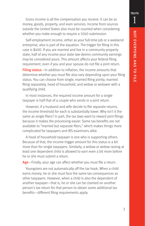TRUTH

TRUTH<br>1 Gross income is all the compensation you receive. It can be as money, goods, property, and even services. Income from sources outside the United States also must be counted when considering whether you make enough to require a 1040 submission.

Self-employment income, either as your full-time job or a weekend enterprise, also is part of the equation. The trigger for filing in this case is \$400. If you are married and live in a community property state, half of any income your state law deems community earnings may be considered yours. This amount affects your federal filing requirement, even if you and your spouse do not file a joint return.

Filing status—In addition to inflation, the income amounts that determine whether you must file also vary depending upon your filing status. You can choose from single, married filing jointly, married filing separately, head of household, and widow or widower with a qualifying child.

In most instances, the required income amount for a single taxpayer is half that of a couple who sends in a joint return.

However, if a husband and wife decide to file separate returns, the income threshold for each is substantially lower. Why isn't it the same as single filers? In part, the tax laws want to reward joint filings because it makes the processing easier. Some tax benefits are not available to "married but separate filers," which makes things more complicated for taxpayers and IRS examiners alike.

A head of household taxpayer is one who is supporting others. Because of that, the income trigger amount for this status is a bit more than for single taxpayers. Similarly, a widow or widow raising at least one dependent child is allowed to earn even a bit more before he or she must submit a return.

Age-Finally, your age can affect whether you must file a return.

Youngsters are not automatically off the tax hook. When a child earns money, he or she must face the same tax consequences as other taxpayers. However, when a child is also the dependent of another taxpayer—that is, he or she can be claimed on another person's tax return for that person to obtain some additional tax benefits—different filing requirements apply.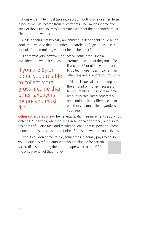A dependent filer must take into account both money earned from a job, as well as income from investments. How much income from each of those two sources determines whether the dependent must file his or her own tax return.

While dependents typically are children, a dependent could be an adult relative. And that dependent, regardless of age, much use the formula for determining whether he or she must file.

Older taxpayers, however, do receive some other special consideration when it comes to determining whether they must file.

If you are 65 or older, you are able to collect more gross income than other taxpayers before you must  $file.$ 

If you are 65 or older, you are able to collect more gross income than other taxpayers before you must file.

Vision issues also can bump up the amount of money necessary to require filing. This extra income amount is calculated separately and could make a difference as to whether you must file, regardless of your age.

Other considerations—The general tax-filing requirements apply not only to U.S. citizens, whether living in America or abroad, but also to residents of Puerto Rico and resident aliens—that is, persons whose permanent residence is in the United States but who are not citizens.

Even if you don't have to file, sometimes it literally pays to do so. If you're due any refund amount or you're eligible for certain tax credits, submitting the proper paperwork to the IRS is the only way to get that money.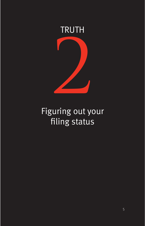

### Figuring out your filing status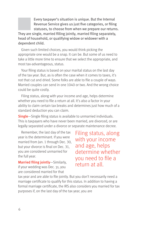Every taxpayer's situation is unique. But the Internal Revenue Service gives us just five categories, or filing statuses, to choose from when we prepare our returns. They are single, married filling jointly, married filing separately, head of household, or qualifying widow or widower with a dependent child.

Given such limited choices, you would think picking the appropriate one would be a snap. It can be. But some of us need to take a little more time to ensure that we select the appropriate, and most tax-advantageous, status.

Your filing status is based on your marital status on the last day of the tax year. But, as is often the case when it comes to taxes, it's not that cut and dried. Some folks are able to file a couple of ways. Married couples can send in one 1040 or two. And the wrong choice could be quite costly.

Filing status, along with your income and age, helps determine whether you need to file a return at all. It's also a factor in your ability to claim certain tax breaks and determines just how much of a standard deduction you can claim.

**Single**—Single filing status is available to unmarried individuals. This is taxpayers who have never been married, are divorced, or are legally separated under a divorce or separate maintenance decree.

Remember, the last day of the tax year is the determinant. If you were married from Jan. 1 through Dec. 30, but your divorce is final on Dec. 31, you are considered unmarried for the full year.

Married filing jointly-Similarly, if your wedding was Dec. 31, you are considered married for that

Filing status, along with your income and age, helps determine whether you need to file a return at all.

tax year and are able to file jointly. But you don't necessarily need a marriage certificate to qualify for this status. In addition to having a formal marriage certificate, the IRS also considers you married for tax purposes if, on the last day of the tax year, you are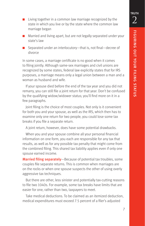$\overline{R}$ 

- **E** Living together in a common law marriage recognized by the  $\overline{2}$ state in which you live or by the state where the common law marriage began
- Married and living apart, but are not legally separated under your state's law
- $\blacksquare$  Separated under an interlocutory—that is, not final—decree of divorce

In some cases, a marriage certificate is no good when it comes to filing jointly. Although same-sex marriages and civil unions are recognized by some states, federal law explicitly states that for IRS purposes, a marriage means only a legal union between a man and a woman as husband and wife.

If your spouse died before the end of the tax year and you did not remarry, you can still file a joint return for that year. Don't be confused by the qualifying widow/widower status: you'll find more on it in a few paragraphs.

Joint filing is the choice of most couples. Not only is it convenient for both you and your spouse, as well as the IRS, which then has to examine only one return for two people, you could lose some tax breaks if you file a separate return.

A joint return, however, does have some potential drawbacks.

When you and your spouse combine all your personal financial information on one form, you each are responsible for any tax that results, as well as for any possible tax penalty that might come from the combined filing. This shared tax liability applies even if only one spouse earned income.

Married filing separately—Because of potential tax troubles, some couples file separate returns. This is common when marriages are on the rocks or when one spouse suspects the other of using overly aggressive tax techniques.

But there are other, less sinister and potentially tax-cutting reasons to file two 1040s. For example, some tax breaks have limits that are easier for one, rather than two, taxpayers to meet.

Take medical deductions. To be claimed as an itemized deduction, medical expenditures must exceed 7.5 percent of a filer's adjusted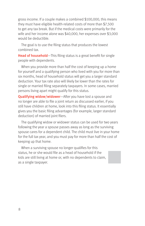gross income. If a couple makes a combined \$100,000, this means they must have eligible health-related costs of more than \$7,500 to get any tax break. But if the medical costs were primarily for the wife and her income alone was \$40,000, her expenses over \$3,000 would be deductible.

The goal is to use the filing status that produces the lowest combined tax.

Head of household—This filing status is a great benefit for single people with dependents.

When you provide more than half the cost of keeping up a home for yourself and a qualifying person who lived with you for more than six months, head of household status will get you a larger standard deduction. Your tax rate also will likely be lower than the rates for single or married filing separately taxpayers. In some cases, married persons living apart might qualify for this status.

**Qualifying widow/widower**—After you have lost a spouse and no longer are able to file a joint return as discussed earlier, if you still have children at home, look into this filing status. It essentially gives you the basic filing advantages (for example, larger standard deduction) of married joint filers.

The qualifying widow or widower status can be used for two years following the year a spouse passes away as long as the surviving spouse cares for a dependent child. The child must live in your home for the full tax year, and you must pay for more than half the cost of keeping up that home.

When a surviving spouse no longer qualifies for this status, he or she would file as a head of household if the kids are still living at home or, with no dependents to claim, as a single taxpayer.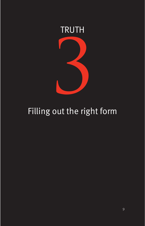

### Filling out the right form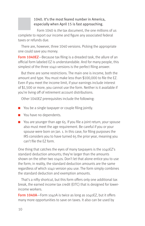#### 1040. It's the most feared number in America, especially when April 15 is fast approaching.

Form 1040 is the tax document, the one millions of us complete to report our income and figure any associated federal taxes or refunds due.

There are, however, three 1040 versions. Picking the appropriate one could save you money.

Form 1040EZ-Because tax filing is a dreaded task, the allure of an official form labeled EZ is understandable. And for many people, this simplest of the three 1040 versions is the perfect filing answer.

But there are some restrictions. The main one is income, both the amount and type. You must make less than \$100,000 to file the EZ. Even if you meet the income limit, if your earnings include interest of \$1,500 or more, you cannot use the form. Neither is it available if you're living off of retirement account distributions.

Other 1040EZ prerequisites include the following:

- $\blacksquare$  You be a single taxpayer or couple filing jointly.
- **Nou have no dependents.**
- $\blacksquare$  You are younger than age 65. If you file a joint return, your spouse also must meet the age requirement. Be careful if you or your spouse were born on Jan. 1. In this case, for filing purposes the IRS considers you to have turned 65 the prior year, meaning you can't file the F7 form.

One thing that catches the eyes of many taxpayers is the 1040EZ's standard deduction amounts; they're larger than the amounts shown on the other two 1040s. Don't let that alone entice you to use the form; in reality, the standard deduction amounts are the same regardless of which 1040 version you use. The form simply combines the standard deduction and exemption amounts.

That's a nifty shortcut, but this form offers only one additional tax break, the earned income tax credit (EITC) that is designed for lowerincome workers.

Form 1040A—Form 1040A is twice as long as 1040EZ, but it offers many more opportunities to save on taxes. It also can be used by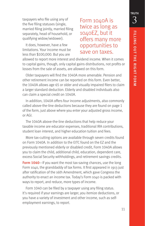$\sqrt{2}$ 

taxpayers who file using any of  $\overline{\phantom{1}}$  Form 1040A is  $\overline{\phantom{1}}$  3 the five filing statuses (single, married filing jointly, married filing separately, head of household, or qualifying widow/widower).

It does, however, have a few limitations. Your income must be less than \$100,000. But you are

twice as long as 1040EZ, but it offers many more opportunities to save on taxes.

allowed to report more interest and dividend income. When it comes to capital gains, though, only capital gains distributions, not profits or losses from the sale of assets, are allowed on this form.

Older taxpayers will find the 1040A more amenable. Pension and other retirement income can be reported on this form. Even better, the 1040A allows age 65 or older and visually impaired filers to claim a larger standard deduction. Elderly and disabled individuals also can claim a special credit on 1040A.

In addition, 1040A offers four income adjustments, also commonly called above-the-line deductions because they are found on page 1 of the form, just above where you enter your adjusted gross income, or AGI.

The 1040A above-the-line deductions that help reduce your taxable income are educator expenses, traditional IRA contributions, student loan interest, and higher education tuition and fees.

More tax-cutting options are available through seven credits found on Form 1040A. In addition to the EITC found on the EZ and the previously mentioned elderly or disabled credit, Form 1040A allows you to claim the child, additional child, education, dependent care, excess Social Security withholdings, and retirement savings credits.

Form 1040—If you want the most tax-saving chances, use the long Form 1040, the granddaddy of tax forms. It first appeared in 1913 just after ratification of the 16th Amendment, which gave Congress the authority to enact an income tax. Today's Form 1040 is packed with ways to report, and reduce, more types of income.

Form 1040 can be filed by a taxpayer using any filing status. It's required if your earnings are larger, you itemize deductions, or you have a variety of investment and other income, such as selfemployment earnings, to report.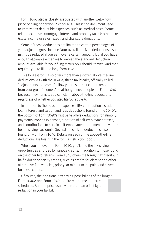Form 1040 also is closely associated with another well-known piece of filing paperwork, Schedule A. This is the document used to itemize tax-deductible expenses, such as medical costs; homerelated expenses (mortgage interest and property taxes); other taxes (state income or sales taxes); and charitable donations.

Some of these deductions are limited to certain percentages of your adjusted gross income. Your overall itemized deductions also might be reduced if you earn over a certain amount. But if you have enough allowable expenses to exceed the standard deduction amount available for your filing status, you should itemize. And that requires you to file the long Form 1040.

This longest form also offers more than a dozen above-the-line deductions. As with the 1040A, these tax breaks, officially called "adjustments to income," allow you to subtract certain amounts from your gross income. And although most people file Form 1040 because they itemize, you can claim above-the-line deductions regardless of whether you also file Schedule A.

In addition to the educator expenses, IRA contributions, student loan interest, and tuition and fees deductions found on the 1040A, the bottom of Form 1040's first page offers deductions for alimony payments, moving expenses, a portion of self-employment taxes, and contributions to certain self-employment retirement and various health savings accounts. Several specialized deductions also are found only on Form 1040. Details on each of the above-the-line deductions are found in the form's instruction book.

When you flip over the Form 1040, you'll find the tax-saving opportunities afforded by various credits. In addition to those found on the other two returns, Form 1040 offers the foreign tax credit and half a dozen specialty credits, such as breaks for electric and other alternative-fuel vehicles, prior-year minimum tax paid, and several business credits.

Of course, the additional tax-saving possibilities of the longer Form 1040A and Form 1040 require more time and extra schedules. But that price usually is more than offset by a reduction in your tax bill.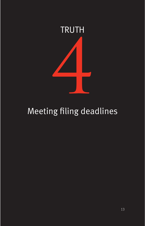

## Meeting filing deadlines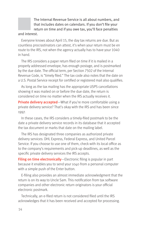The Internal Revenue Service is all about numbers, and that includes dates on calendars. If you don't file your return on time and if you owe tax, you'll face penalties

#### and interest.

Everyone knows about April 15, the day tax returns are due. But as countless procrastinators can attest, it's when your return must be en route to the IRS, not when the agency actually has to have your 1040 in hand.

The IRS considers a paper return filed on time if it is mailed in a properly addressed envelope, has enough postage, and is postmarked by the due date. The official term, per Section 7502 of the Internal Revenue Code, is "timely filed." The tax code also notes that the date on a U.S. Postal Service receipt for certified or registered mail also qualifies.

As long as the tax mailing has the appropriate USPS cancellations showing it was mailed on or before the due date, the return is considered on time no matter when the IRS actually receives it.

**Private delivery accepted**—What if you're more comfortable using a private delivery service? That's okay with the IRS and has been since 1997.

In these cases, the IRS considers a timely-filed postmark to be the date a private delivery service records in its database that it accepted the tax document or marks that date on the mailing label.

The IRS has designated three companies as authorized private delivery services: DHL Express, Federal Express, and United Parcel Service. If you choose to use one of them, check with its local office as to the company's requirements and pick-up deadlines, as well as the specific private delivery services the IRS accepts.

Filing on time electronically—Electronic filing is popular in part because it enables you to send your 1040 from a personal computer with a simple push of the Enter button.

E-filing also provides an almost immediate acknowledgment that the return is on its way to Uncle Sam. This notification from tax software companies and other electronic return originators is your official electronic postmark.

Technically, an e-filed return is not considered filed until the IRS acknowledges that it has been received and accepted for processing.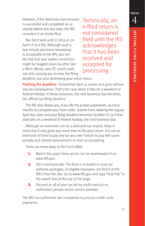**MEETING FILING DEADLINES** MEETING FILING DEADLINES

TRUTH

However, if the electronic transmission Technically, an 14 is successful and completed on or shortly before the due date, the IRS considers it as timely filed.

But don't wait until 11:59 p.m. on April 15 to e-file. Although such a last-minute electronic timestamp is acceptable to the IRS, you run the risk that your online connection might be bogged down by other late e-filers. Worse, your PC could crash, not only causing you to miss the filing e-filed return is not considered filed until the IRS acknowledges that it has been received and accepted for processing.

deadline, but also destroying your entire return.

Pushing the deadline-Sometimes April 15 comes and goes without any tax consequence. That's the case when it falls on a weekend or federal holiday. In these instances, the next business day becomes the official tax-filing deadline.

The IRS also allows you, if you file the proper paperwork, six more months to complete your Form 1040. Submit Form 4868 by the regular April due date, and your filing deadline becomes October 15, or if that date falls on a weekend or federal holiday, the next business day.

Although an extension can be a welcome tax respite, keep in mind that it only gives you more time to file your return. It is not an extension of time to pay any tax you owe. Failure to pay will cause penalty and interest assessments to start accumulating.

There are three ways to file Form 4868:

- **1.** Mail in the paper form, which can be downloaded from [www.IRS.gov.](www.IRS.gov)
- **2.** File it electronically. The form is included in most tax software packages, or eligible taxpayers can find it at the IRS's Free File site. Go to<www.IRS.gov> and type "Free File" in the search box at the top of the page.
- **3.** Pay part or all of your tax bill by credit card via an authorized, private-sector service provider.

The IRS has authorized two companies to process credit cards payments: